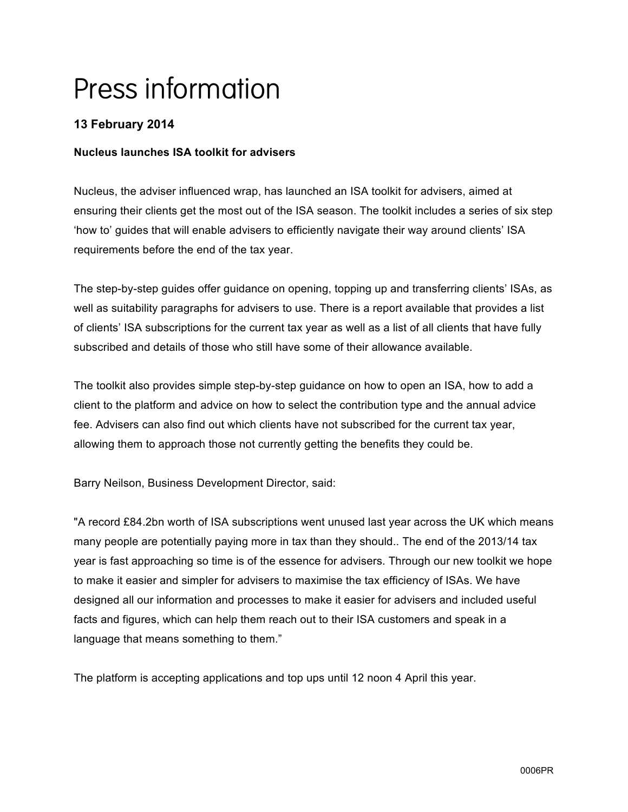# Press information

# **13 February 2014**

## **Nucleus launches ISA toolkit for advisers**

Nucleus, the adviser influenced wrap, has launched an ISA toolkit for advisers, aimed at ensuring their clients get the most out of the ISA season. The toolkit includes a series of six step 'how to' guides that will enable advisers to efficiently navigate their way around clients' ISA requirements before the end of the tax year.

The step-by-step guides offer guidance on opening, topping up and transferring clients' ISAs, as well as suitability paragraphs for advisers to use. There is a report available that provides a list of clients' ISA subscriptions for the current tax year as well as a list of all clients that have fully subscribed and details of those who still have some of their allowance available.

The toolkit also provides simple step-by-step guidance on how to open an ISA, how to add a client to the platform and advice on how to select the contribution type and the annual advice fee. Advisers can also find out which clients have not subscribed for the current tax year, allowing them to approach those not currently getting the benefits they could be.

Barry Neilson, Business Development Director, said:

"A record £84.2bn worth of ISA subscriptions went unused last year across the UK which means many people are potentially paying more in tax than they should.. The end of the 2013/14 tax year is fast approaching so time is of the essence for advisers. Through our new toolkit we hope to make it easier and simpler for advisers to maximise the tax efficiency of ISAs. We have designed all our information and processes to make it easier for advisers and included useful facts and figures, which can help them reach out to their ISA customers and speak in a language that means something to them."

The platform is accepting applications and top ups until 12 noon 4 April this year.